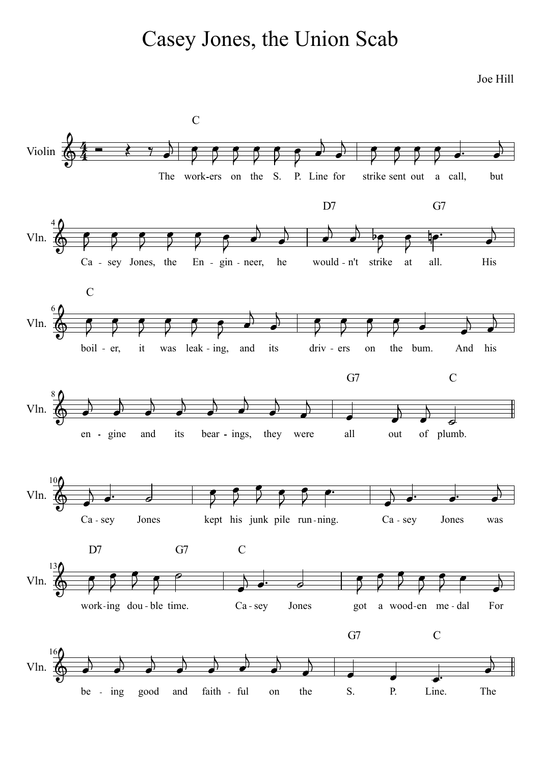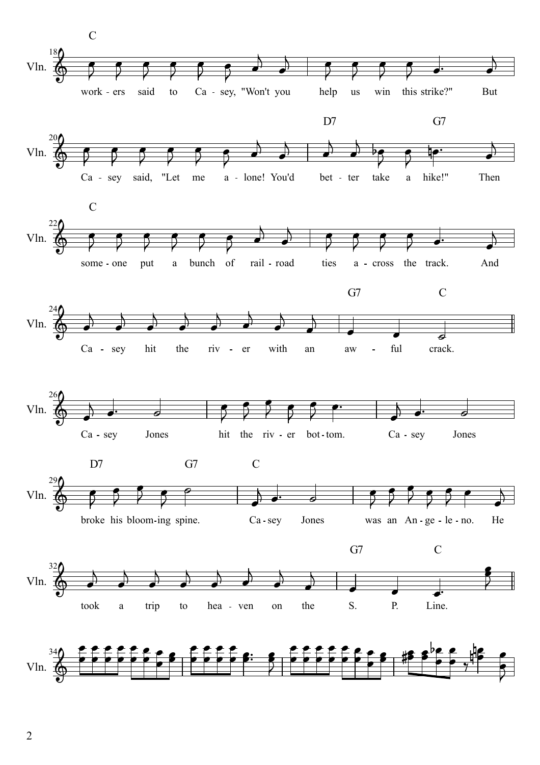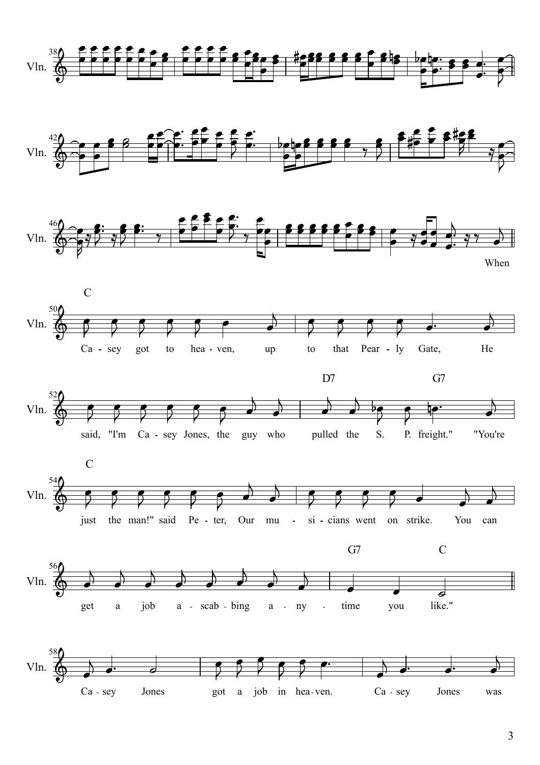











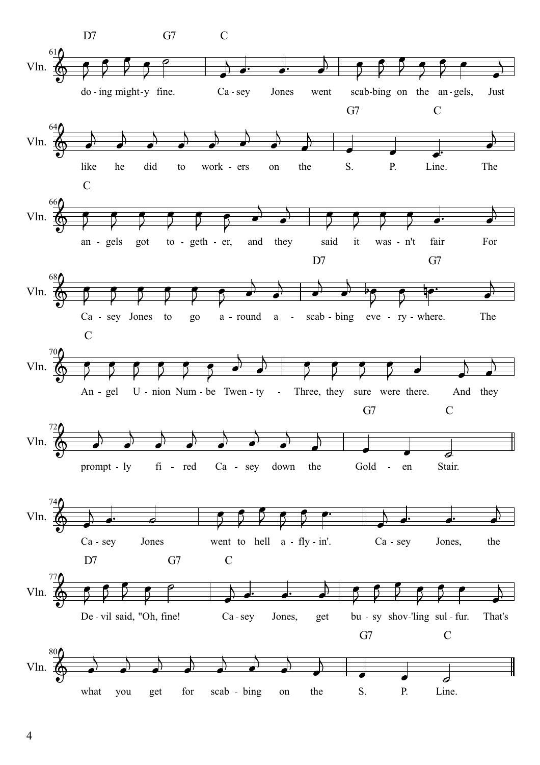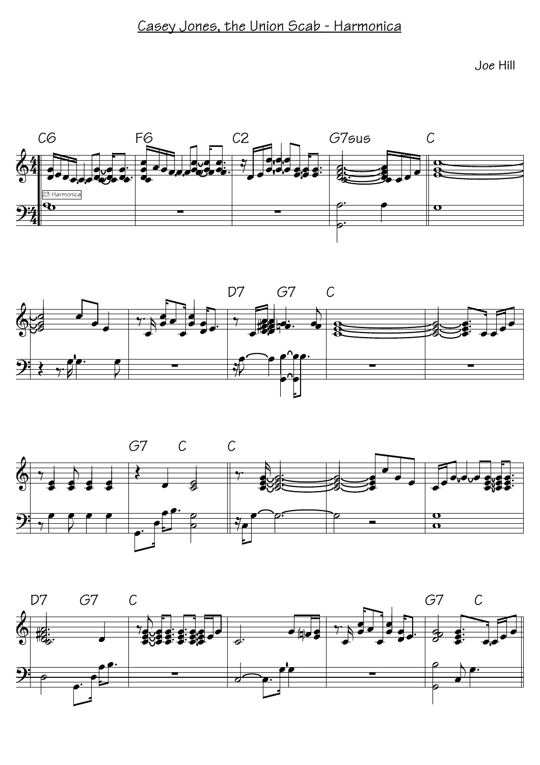





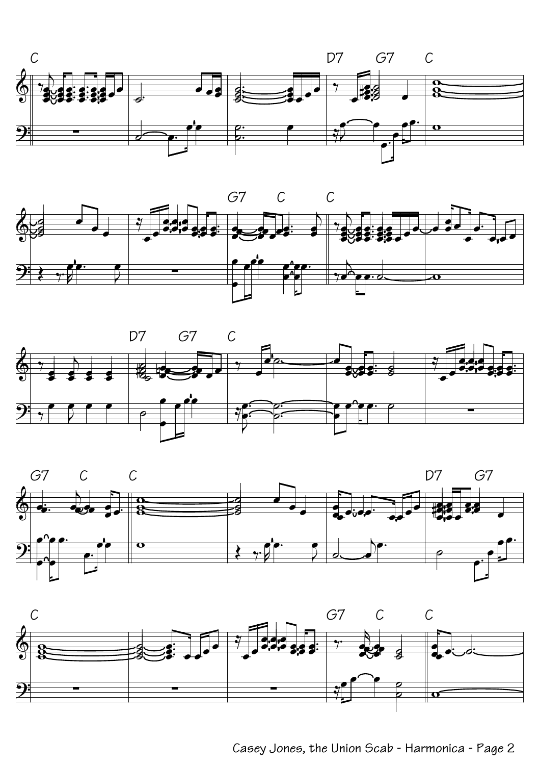









## Casey Jones, the Union Scab - Harmonica - Page 2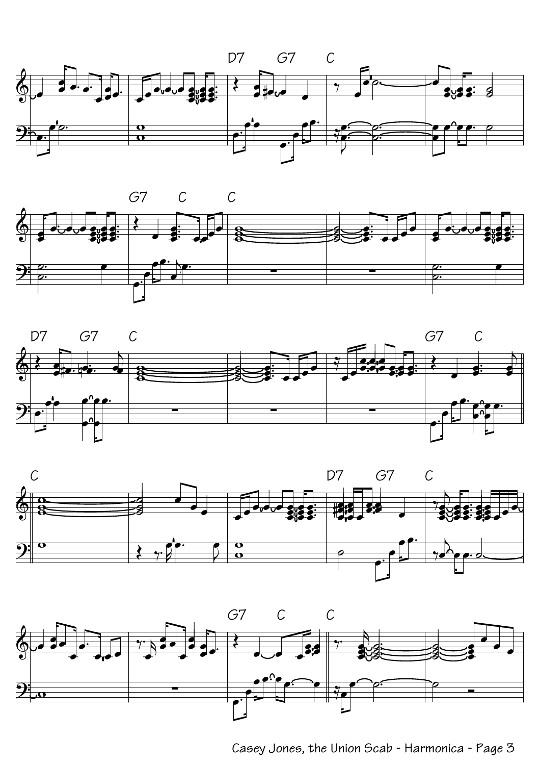









Casey Jones, the Union Scab - Harmonica - Page 3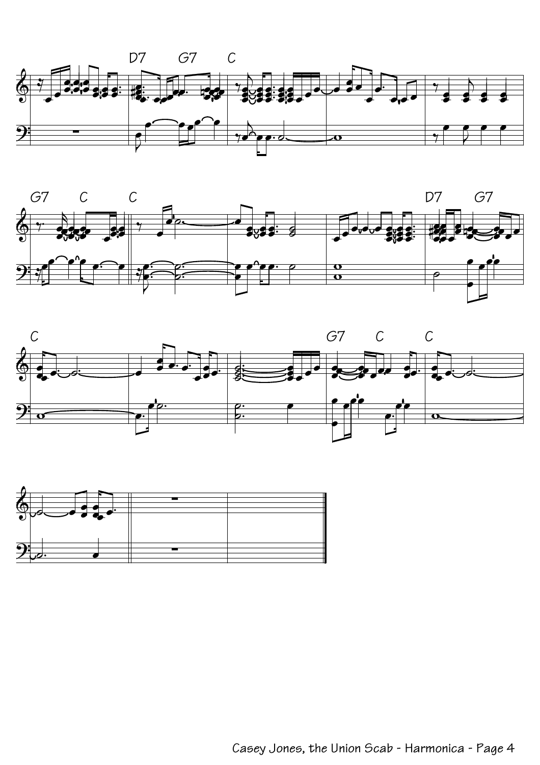





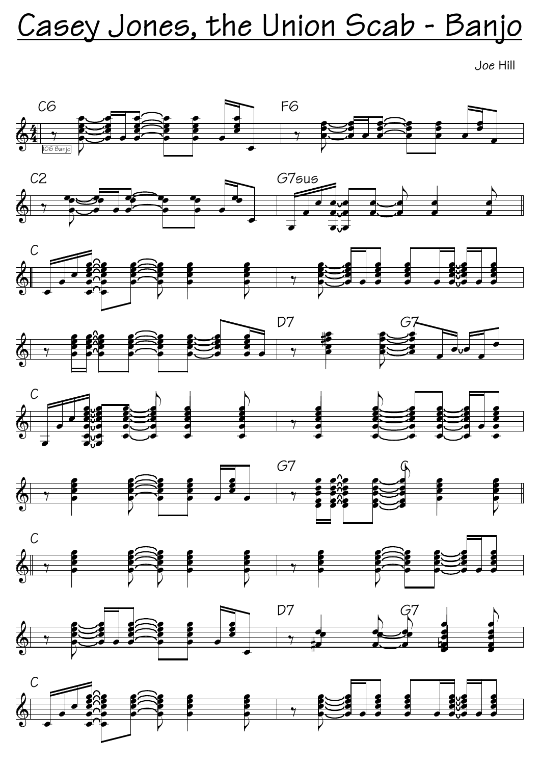## Casey Jones, the Union Scab - Banjo

















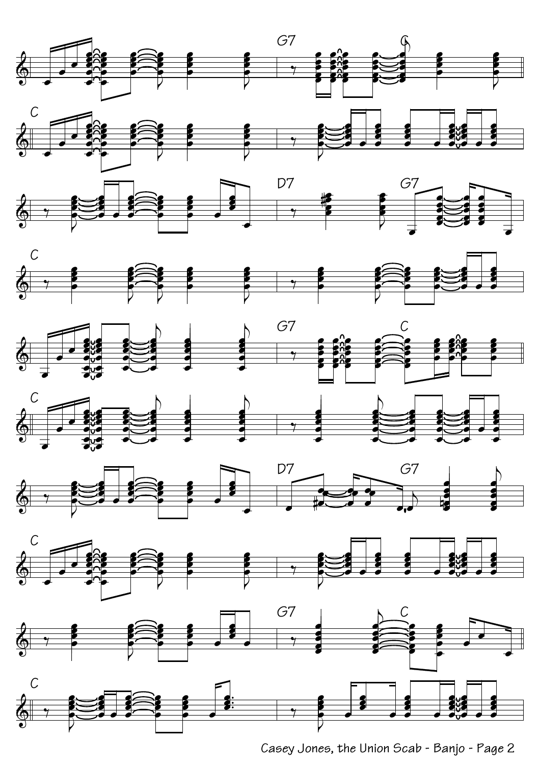



















Casey Jones, the Union Scab - Banjo - Page 2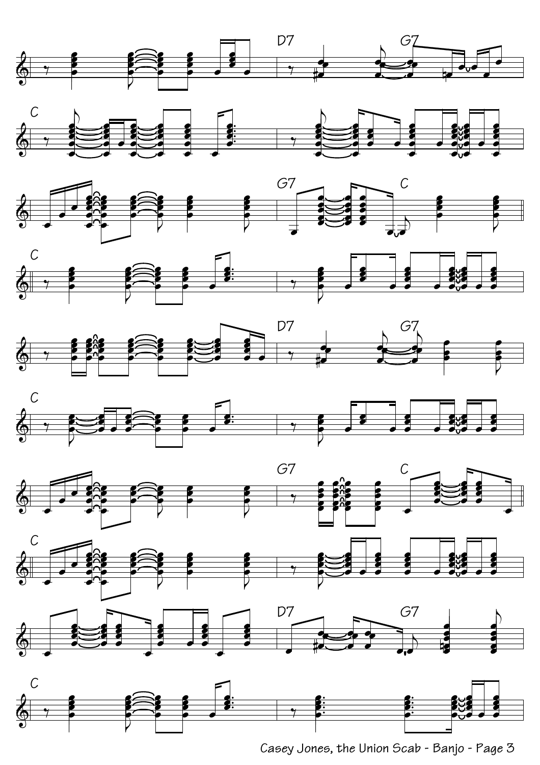



















Casey Jones, the Union Scab - Banjo - Page 3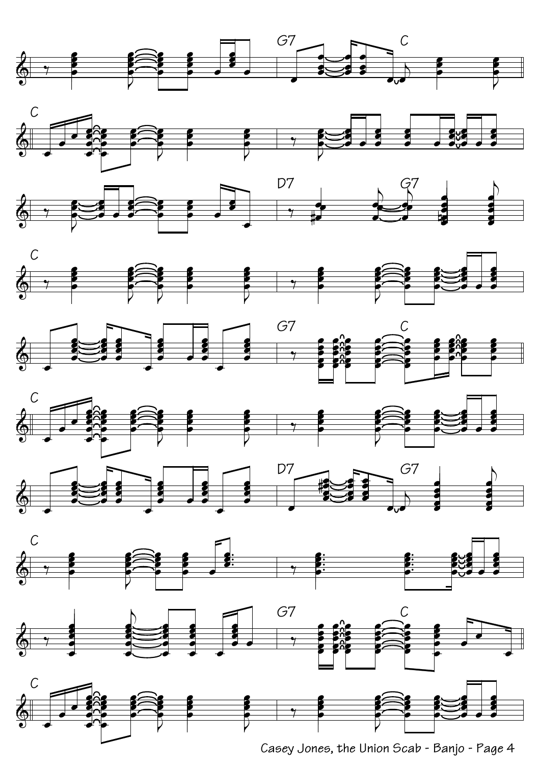















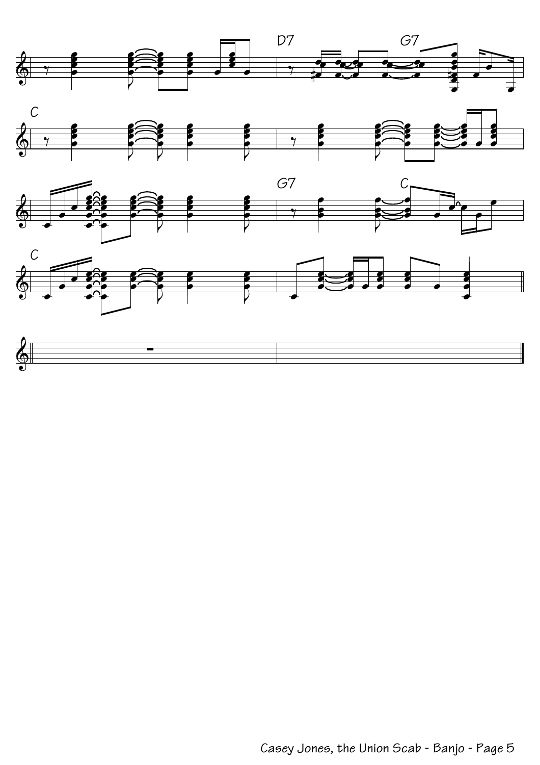







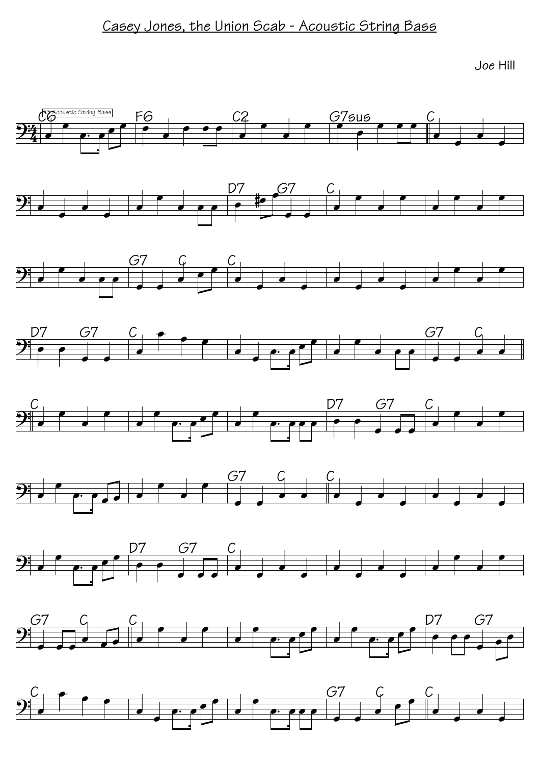## Casey Jones, the Union Scab - Acoustic String Bass